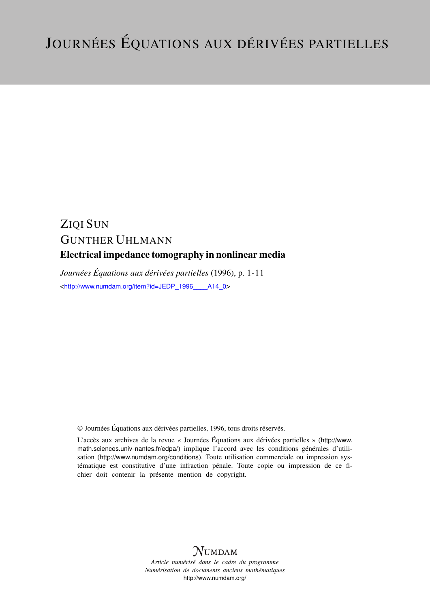# ZIQI SUN GUNTHER UHLMANN Electrical impedance tomography in nonlinear media

*Journées Équations aux dérivées partielles* (1996), p. 1-11 <[http://www.numdam.org/item?id=JEDP\\_1996\\_\\_\\_\\_A14\\_0](http://www.numdam.org/item?id=JEDP_1996____A14_0)>

© Journées Équations aux dérivées partielles, 1996, tous droits réservés.

L'accès aux archives de la revue « Journées Équations aux dérivées partielles » ([http://www.](http://www.math.sciences.univ-nantes.fr/edpa/) [math.sciences.univ-nantes.fr/edpa/](http://www.math.sciences.univ-nantes.fr/edpa/)) implique l'accord avec les conditions générales d'utilisation (<http://www.numdam.org/conditions>). Toute utilisation commerciale ou impression systématique est constitutive d'une infraction pénale. Toute copie ou impression de ce fichier doit contenir la présente mention de copyright.



*Article numérisé dans le cadre du programme Numérisation de documents anciens mathématiques* <http://www.numdam.org/>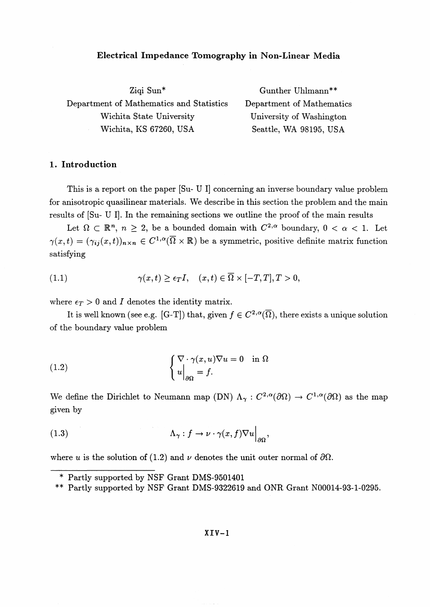#### **Electrical Impedance Tomography in Non-Linear Media**

Ziqi Sun\* Gunther Uhlmann\*\* Department of Mathematics and Statistics Department of Mathematics Wichita State University University of Washington Wichita, KS 67260, USA Seattle, WA 98195, USA

## **1. Introduction**

This is a report on the paper [Su- U I] concerning an inverse boundary value problem for anisotropic quasilinear materials. We describe in this section the problem and the main results of [Su- U I], In the remaining sections we outline the proof of the main results

Let  $\Omega \subset \mathbb{R}^n$ ,  $n \geq 2$ , be a bounded domain with  $C^{2,\alpha}$  boundary,  $0 < \alpha < 1$ . Let  $\gamma(x,t) = (\gamma_{ij}(x,t))_{n \times n} \in C^{1,\alpha}(\overline{\Omega} \times \mathbb{R})$  be a symmetric, positive definite matrix function satisfying

(1.1) 
$$
\gamma(x,t) \geq \epsilon_T I, \quad (x,t) \in \overline{\Omega} \times [-T,T], T > 0,
$$

where  $\epsilon_T > 0$  and *I* denotes the identity matrix.

It is well known (see e.g. [G-T]) that, given  $f \in C^{2,\alpha}(\overline{\Omega})$ , there exists a unique solution of the boundary value problem

(1.2) 
$$
\begin{cases} \nabla \cdot \gamma(x, u) \nabla u = 0 & \text{in } \Omega \\ u \Big|_{\partial \Omega} = f. \end{cases}
$$

We define the Dirichlet to Neumann map (DN)  $\Lambda_{\gamma}: C^{2,\alpha}(\partial\Omega) \to C^{1,\alpha}(\partial\Omega)$  as the map given by

(1.3) 
$$
\Lambda_{\gamma}: f \to \nu \cdot \gamma(x, f) \nabla u \Big|_{\partial \Omega},
$$

where *u* is the solution of (1.2) and  $\nu$  denotes the unit outer normal of  $\partial\Omega$ .

*<sup>\*</sup>* Partly supported by NSF Grant DMS-9501401

<sup>\*\*</sup> Partly supported by NSF Grant DMS-9322619 and ONR Grant N00014-93-1-0295.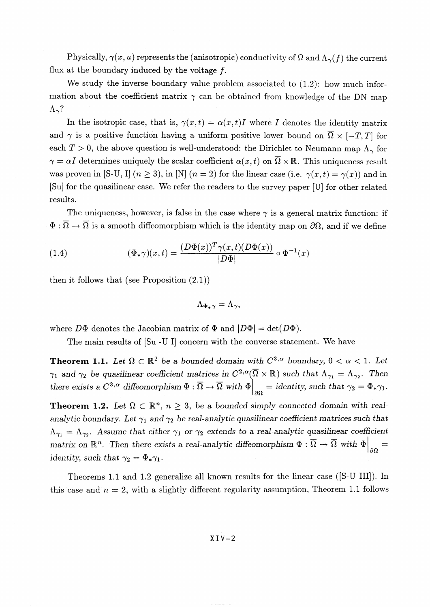Physically,  $\gamma(x, u)$  represents the (anisotropic) conductivity of  $\Omega$  and  $\Lambda_{\gamma}(f)$  the current flux at the boundary induced by the voltage  $f$ .

We study the inverse boundary value problem associated to  $(1.2)$ : how much information about the coefficient matrix  $\gamma$  can be obtained from knowledge of the DN map  $\Lambda_{\gamma}$ ?

In the isotropic case, that is,  $\gamma(x,t) = \alpha(x,t)I$  where *I* denotes the identity matrix and  $\gamma$  is a positive function having a uniform positive lower bound on  $\overline{\Omega} \times [-T, T]$  for each  $T > 0$ , the above question is well-understood: the Dirichlet to Neumann map  $\Lambda_{\gamma}$  for  $\gamma = \alpha I$  determines uniquely the scalar coefficient  $\alpha(x,t)$  on  $\overline{\Omega} \times \mathbb{R}$ . This uniqueness result was proven in [S-U, I]  $(n \ge 3)$ , in [N]  $(n = 2)$  for the linear case (i.e.  $\gamma(x, t) = \gamma(x)$ ) and in [Su] for the quasilinear case. We refer the readers to the survey paper [U] for other related results.

The uniqueness, however, is false in the case where  $\gamma$  is a general matrix function: if  $\Phi$ :  $\overline{\Omega} \to \overline{\Omega}$  is a smooth diffeomorphism which is the identity map on  $\partial\Omega$ , and if we define

(1.4) 
$$
(\Phi_*\gamma)(x,t) = \frac{(D\Phi(x))^T \gamma(x,t)(D\Phi(x))}{|D\Phi|} \circ \Phi^{-1}(x)
$$

then it follows that (see Proposition  $(2.1)$ )

$$
\Lambda_{\Phi_*\gamma} = \Lambda_\gamma
$$

where  $D\Phi$  denotes the Jacobian matrix of  $\Phi$  and  $|D\Phi| = \det(D\Phi)$ .

The main results of [Su -U I] concern with the converse statement. We have

**Theorem 1.1.** Let  $\Omega \subset \mathbb{R}^2$  be a bounded domain with  $C^{3,\alpha}$  boundary,  $0 < \alpha < 1$ . Let  $\gamma_1$  and  $\gamma_2$  be quasilinear coefficient matrices in  $C^{2,\alpha}(\overline{\Omega}\times\mathbb{R})$  such that  $\Lambda_{\gamma_1} = \Lambda_{\gamma_2}$ . Then there exists a  $C^{3,\alpha}$  diffeomorphism  $\Phi : \overline{\Omega} \to \overline{\Omega}$  with  $\Phi\Big|_{\partial\Omega} =$  identity, such that  $\gamma_2 = \Phi_*\gamma_1$ .

**Theorem 1.2.** Let  $\Omega \subset \mathbb{R}^n$ ,  $n \geq 3$ , be a bounded simply connected domain with real*analytic boundary. Let*  $\gamma_1$  *and*  $\gamma_2$  *be real-analytic quasilinear coefficient matrices such that*  $\Lambda_{\gamma_1} = \Lambda_{\gamma_2}$ . Assume that either  $\gamma_1$  or  $\gamma_2$  extends to a real-analytic quasilinear coefficient matrix on  $\mathbb{R}^n$ . Then there exists a real-analytic diffeomorphism  $\Phi : \overline{\Omega} \to \overline{\Omega}$  with  $\Phi \Big|_{\partial \Omega}$ *identity, such that*  $\gamma_2 = \Phi_* \gamma_1$ .

Theorems 1.1 and 1.2 generalize all known results for the linear case ([S-U III]). In this case and  $n = 2$ , with a slightly different regularity assumption. Theorem 1.1 follows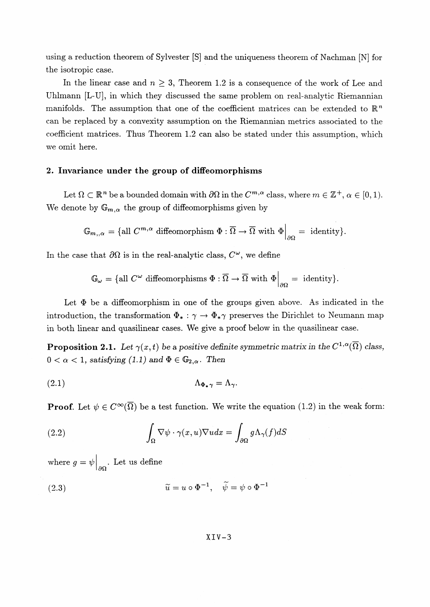using a reduction theorem of Sylvester [S] and the uniqueness theorem of Nachman [N] for the isotropic case.

In the linear case and  $n \geq 3$ , Theorem 1.2 is a consequence of the work of Lee and Uhlmann [L-U], in which they discussed the same problem on real-analytic Riemannian manifolds. The assumption that one of the coefficient matrices can be extended to  $\mathbb{R}^n$ can be replaced by a convexity assumption on the Riemannian metrics associated to the coefficient matrices. Thus Theorem 1.2 can also be stated under this assumption, which we omit here.

### **2. Invariance under the group of diffeomorphisms**

Let  $\Omega \subset \mathbb{R}^n$  be a bounded domain with  $\partial\Omega$  in the  $C^{m,\alpha}$  class, where  $m \in \mathbb{Z}^+, \alpha \in [0,1)$ . We denote by  $\mathbb{G}_{m,\alpha}$  the group of diffeomorphisms given by

$$
\mathbb{G}_{m,,\alpha} = \{ \text{all } C^{m,\alpha} \text{ diffeomorphism } \Phi : \overline{\Omega} \to \overline{\Omega} \text{ with } \Phi \Big|_{\partial \Omega} = \text{ identity} \}.
$$

In the case that  $\partial\Omega$  is in the real-analytic class,  $C^{\omega}$ , we define

$$
\mathbb{G}_{\omega} = \{ \text{all } C^{\omega} \text{ diffeomorphisms } \Phi : \overline{\Omega} \to \overline{\Omega} \text{ with } \Phi \Big|_{\partial \Omega} = \text{ identity} \}.
$$

Let  $\Phi$  be a diffeomorphism in one of the groups given above. As indicated in the introduction, the transformation  $\Phi_* : \gamma \to \Phi_* \gamma$  preserves the Dirichlet to Neumann map in both linear and quasilinear cases. We give a proof below in the quasilinear case.

**Proposition 2.1.** Let  $\gamma(x,t)$  be a positive definite symmetric matrix in the  $C^{1,\alpha}(\overline{\Omega})$  class,  $0 < \alpha < 1$ , satisfying (1.1) and  $\Phi \in \mathbb{G}_{2,\alpha}$ . Then

(2.1) A\$^ = A^.

**Proof.** Let  $\psi \in C^{\infty}(\overline{\Omega})$  be a test function. We write the equation (1.2) in the weak form:

(2.2) 
$$
\int_{\Omega} \nabla \psi \cdot \gamma(x, u) \nabla u dx = \int_{\partial \Omega} g \Lambda_{\gamma}(f) dS
$$

where  $g = \psi \Big|_{\partial \Omega}$ . Let us define

(2.3) 
$$
\widetilde{u} = u \circ \Phi^{-1}, \quad \widetilde{\psi} = \psi \circ \Phi^{-1}
$$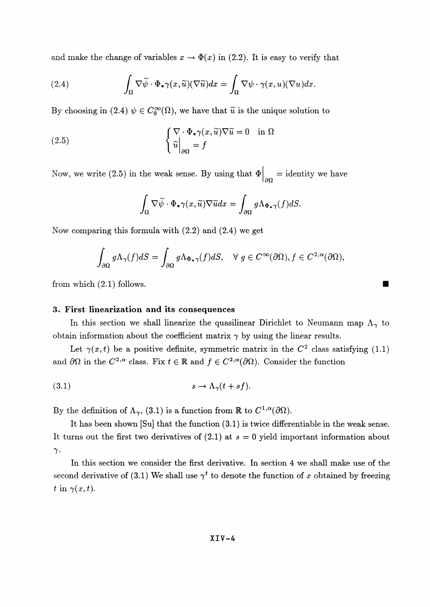and make the change of variables  $x \to \Phi(x)$  in (2.2). It is easy to verify that

(2.4) 
$$
\int_{\Omega} \nabla \widetilde{\psi} \cdot \Phi_* \gamma(x, \widetilde{u}) (\nabla \widetilde{u}) dx = \int_{\Omega} \nabla \psi \cdot \gamma(x, u) (\nabla u) dx.
$$

By choosing in (2.4)  $\psi \in C_0^\infty(\Omega)$ , we have that  $\tilde{u}$  is the unique solution to

(2.5) 
$$
\begin{cases} \nabla \cdot \Phi_* \gamma(x, \tilde{u}) \nabla \tilde{u} = 0 & \text{in } \Omega \\ \tilde{u} \Big|_{\partial \Omega} = f \end{cases}
$$

Now, we write (2.5) in the weak sense. By using that  $\Phi\Big|_{\partial\Omega} = \text{identity we have}$ 

$$
\int_{\Omega} \nabla \widetilde{\psi} \cdot \Phi_{\ast} \gamma(x, \widetilde{u}) \nabla \widetilde{u} dx = \int_{\partial \Omega} g \Lambda_{\Phi_{\ast}} \gamma(f) dS.
$$

Now comparing this formula with  $(2.2)$  and  $(2.4)$  we get

$$
\int_{\partial\Omega} g\Lambda_{\gamma}(f)dS = \int_{\partial\Omega} g\Lambda_{\Phi_{\star}\gamma}(f)dS, \quad \forall g \in C^{\infty}(\partial\Omega), f \in C^{2,\alpha}(\partial\Omega),
$$
  
from which (2.1) follows.

#### **3. First linearization and its consequences**

In this section we shall linearize the quasilinear Dirichlet to Neumann map  $\Lambda_{\gamma}$  to obtain information about the coefficient matrix  $\gamma$  by using the linear results.

Let  $\gamma(x,t)$  be a positive definite, symmetric matrix in the  $C^2$  class satisfying (1.1) and  $\partial\Omega$  in the  $C^{2,\alpha}$  class. Fix  $t \in \mathbb{R}$  and  $f \in C^{2,\alpha}(\partial\Omega)$ . Consider the function

$$
(3.1) \t\t s \to \Lambda_{\gamma}(t + sf).
$$

By the definition of  $\Lambda_{\gamma}$ , (3.1) is a function from R to  $C^{1,\alpha}(\partial\Omega)$ .

It has been shown [Su] that the function (3.1) is twice differentiable in the weak sense. It turns out the first two derivatives of (2.1) at *s* = 0 yield important information about  $\gamma$ .

In this section we consider the first derivative. In section 4 we shall make use of the second derivative of (3.1) We shall use  $\gamma^t$  to denote the function of x obtained by freezing  $t \text{ in } \gamma(x,t).$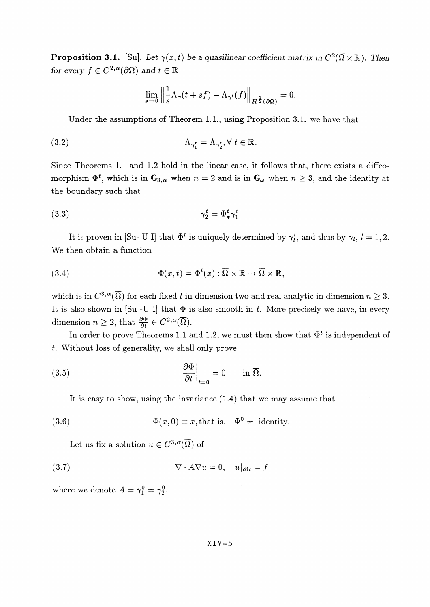**Proposition 3.1.** [Su]. Let  $\gamma(x,t)$  be a quasilinear coefficient matrix in  $C^2(\overline{\Omega}\times\mathbb{R})$ . Then **Proposition 3.1.** [Su]. Let  $\gamma(x,t)$ <br>for every  $f \in C^{2,\alpha}(\partial\Omega)$  and  $t \in \mathbb{R}$ 

$$
\lim_{s\to 0}\Big\|\frac1s\Lambda_\gamma(t+s f)-\Lambda_{\gamma^t}(f)\Big\|_{H^{\frac12}(\partial\Omega)}=0.
$$

Under the assumptions of Theorem 1,1., using Proposition 3.1. we have that

(3.2) 
$$
\Lambda_{\gamma_1^t} = \Lambda_{\gamma_2^t}, \forall \ t \in \mathbb{R}.
$$

Since Theorems 1.1 and 1.2 hold in the linear case, it follows that, there exists a diffeomorphism  $\Phi^t$ , which is in  $\mathbb{G}_{3,\alpha}$  when  $n = 2$  and is in  $\mathbb{G}_{\omega}$  when  $n \geq 3$ , and the identity at the boundary such that<br>(3.3)  $\gamma_2^t = \Phi_*^t \gamma_1^t$ . the boundary such that

$$
\gamma_2^t = \Phi_*^t \gamma_1^t.
$$

It is proven in [Su- U I] that  $\Phi^t$  is uniquely determined by  $\gamma_i^t$ , and thus by  $\gamma_i$ ,  $l=1,2$ . We then obtain a function

(3.4) 
$$
\Phi(x,t) = \Phi^t(x) : \overline{\Omega} \times \mathbb{R} \to \overline{\Omega} \times \mathbb{R},
$$

which is in  $C^{3,\alpha}(\overline{\Omega})$  for each fixed t in dimension two and real analytic in dimension  $n \geq 3$ . It is also shown in [Su -U I] that  $\Phi$  is also smooth in t. More precisely we have, in every It is also shown in  $[Su - U]$  that  $\Phi$  if<br>dimension  $n \geq 2$ , that  $\frac{\partial \Phi}{\partial t} \in C^{2,\alpha}(\overline{\Omega})$ .

In order to prove Theorems 1.1 and 1.2, we must then show that  $\Phi^t$  is independent of *t.* Without loss of generality, we shall only prove

(3.5) 
$$
\left.\frac{\partial \Phi}{\partial t}\right|_{t=0} = 0 \quad \text{in } \overline{\Omega}.
$$

It is easy to show, using the invariance (1.4) that we may assume that

(3.6) 
$$
\Phi(x,0) \equiv x, \text{that is, } \Phi^0 = \text{identity.}
$$

Let us fix a solution  $u \in C^{3,\alpha}(\overline{\Omega})$  of

(3.7) 
$$
\nabla \cdot A \nabla u = 0, \quad u|_{\partial \Omega} = f
$$

where we denote  $A = \gamma_1^0 = \gamma_2^0$ .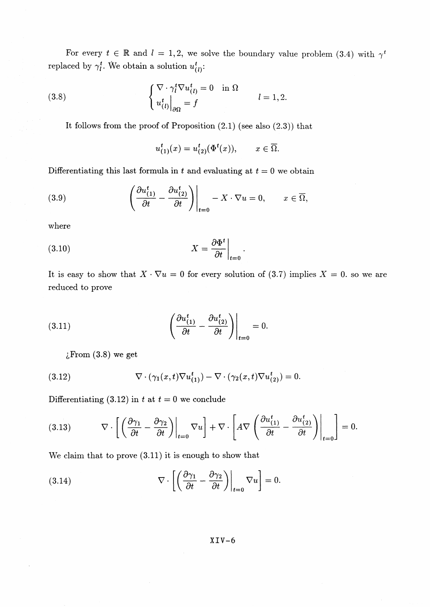For every  $t \in \mathbb{R}$  and  $l = 1, 2$ , we solve the boundary value problem (3.4) with  $\gamma^t$ replaced by  $\gamma_l^t$ . We obtain a solution  $u_{(l)}^t$ :

(3.8) 
$$
\begin{cases} \nabla \cdot \gamma_l^t \nabla u_{(l)}^t = 0 & \text{in } \Omega \\ u_{(l)}^t \big|_{\partial \Omega} = f & l = 1, 2. \end{cases}
$$

It follows from the proof of Proposition  $(2.1)$  (see also  $(2.3)$ ) that

$$
u_{(1)}^t(x) = u_{(2)}^t(\Phi^t(x)), \qquad x \in \overline{\Omega}.
$$

Differentiating this last formula in t and evaluating at  $t = 0$  we obtain

(3.9) 
$$
\left.\left(\frac{\partial u_{(1)}^t}{\partial t} - \frac{\partial u_{(2)}^t}{\partial t}\right)\right|_{t=0} - X \cdot \nabla u = 0, \qquad x \in \overline{\Omega},
$$

where

It is easy to show that  $X \cdot \nabla u = 0$  for every solution of (3.7) implies  $X = 0$ , so we are reduced to prove

(3.11) 
$$
\left.\left(\frac{\partial u_{(1)}^t}{\partial t} - \frac{\partial u_{(2)}^t}{\partial t}\right)\right|_{t=0} = 0.
$$

 $i$ From  $(3.8)$  we get

(3.12) 
$$
\nabla \cdot (\gamma_1(x,t) \nabla u_{(1)}^t) - \nabla \cdot (\gamma_2(x,t) \nabla u_{(2)}^t) = 0.
$$

Differentiating (3.12) in t at  $t = 0$  we conclude

(3.13) 
$$
\nabla \cdot \left[ \left( \frac{\partial \gamma_1}{\partial t} - \frac{\partial \gamma_2}{\partial t} \right) \Big|_{t=0} \nabla u \right] + \nabla \cdot \left[ A \nabla \left( \frac{\partial u_{(1)}^t}{\partial t} - \frac{\partial u_{(2)}^t}{\partial t} \right) \Big|_{t=0} \right] = 0.
$$

We claim that to prove  $(3.11)$  it is enough to show that

(3.14) 
$$
\nabla \cdot \left[ \left( \frac{\partial \gamma_1}{\partial t} - \frac{\partial \gamma_2}{\partial t} \right) \Big|_{t=0} \nabla u \right] = 0.
$$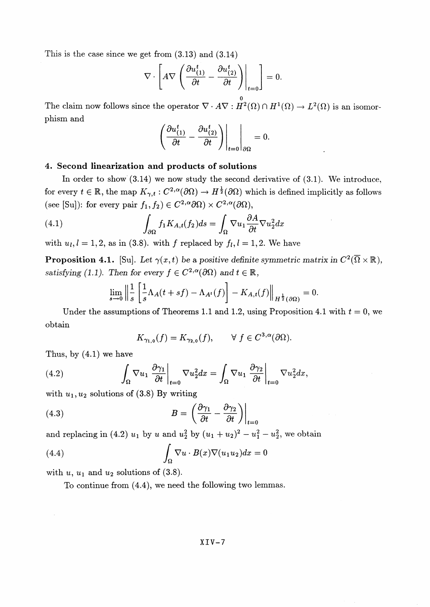This is the case since we get from  $(3.13)$  and  $(3.14)$ 

$$
\nabla \cdot \left[ A \nabla \left( \frac{\partial u_{(1)}^t}{\partial t} - \frac{\partial u_{(2)}^t}{\partial t} \right) \bigg|_{t=0} \right] = 0.
$$

The claim now follows since the operator  $\nabla \cdot A \nabla : H^2(\Omega) \cap H^1(\Omega) \to L^2(\Omega)$  is an isomorphism and

$$
\left.\left(\frac{\partial u^t_{(1)}}{\partial t}-\frac{\partial u^t_{(2)}}{\partial t}\right)\right|_{t=0}\right|_{\partial\Omega}=0.
$$

# 4. Second linearization and products of solutions

In order to show  $(3.14)$  we now study the second derivative of  $(3.1)$ . We introduce, for every  $t \in \mathbb{R}$ , the map  $K_{\gamma,t}: C^{2,\alpha}(\partial\Omega) \to H^{\frac{1}{2}}(\partial\Omega)$  which is defined implicitly as follows (see [Su]): for every pair  $f_1, f_2 \in C^{2,\alpha} \partial \Omega \times C^{2,\alpha} (\partial \Omega)$ ,

(4.1) 
$$
\int_{\partial \Omega} f_1 K_{A,t}(f_2) ds = \int_{\Omega} \nabla u_1 \frac{\partial A}{\partial t} \nabla u_2^2 dx
$$

with  $u_l, l = 1, 2$ , as in (3.8). with f replaced by  $f_l, l = 1, 2$ . We have

**Proposition 4.1.** [Su]. Let  $\gamma(x,t)$  be a positive definite symmetric matrix in  $C^2(\overline{\Omega}\times\mathbb{R})$ , satisfying (1.1). Then for every  $f \in C^{2,\alpha}(\partial\Omega)$  and  $t \in \mathbb{R}$ ,

$$
\lim_{s \to 0} \left\| \frac{1}{s} \left[ \frac{1}{s} \Lambda_A(t + sf) - \Lambda_{A^t}(f) \right] - K_{A,t}(f) \right\|_{H^{\frac{1}{2}}(\partial \Omega)} = 0.
$$

Under the assumptions of Theorems 1.1 and 1.2, using Proposition 4.1 with  $t = 0$ , we obtain

$$
K_{\gamma_{1,0}}(f) = K_{\gamma_{2,0}}(f), \qquad \forall \ f \in C^{3,\alpha}(\partial \Omega).
$$

Thus, by  $(4.1)$  we have

(4.2) 
$$
\int_{\Omega} \nabla u_1 \left. \frac{\partial \gamma_1}{\partial t} \right|_{t=0} \nabla u_2^2 dx = \int_{\Omega} \nabla u_1 \left. \frac{\partial \gamma_2}{\partial t} \right|_{t=0} \nabla u_2^2 dx,
$$

with  $u_1, u_2$  solutions of (3.8) By writing

(4.3) 
$$
B = \left(\frac{\partial \gamma_1}{\partial t} - \frac{\partial \gamma_2}{\partial t}\right)\Big|_{t=1}
$$

and replacing in (4.2)  $u_1$  by u and  $u_2^2$  by  $(u_1 + u_2)^2 - u_1^2 - u_2^2$ , we obtain

(4.4) 
$$
\int_{\Omega} \nabla u \cdot B(x) \nabla (u_1 u_2) dx = 0
$$

with  $u, u_1$  and  $u_2$  solutions of (3.8).

To continue from  $(4.4)$ , we need the following two lemmas.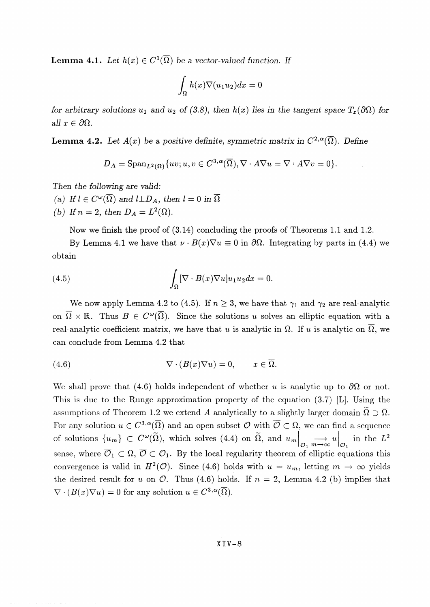**Lemma 4.1.** Let  $h(x) \in C^1(\overline{\Omega})$  be a vector-valued function. If

$$
\int_{\Omega} h(x)\nabla(u_1u_2)dx = 0
$$

*for arbitrary solutions*  $u_1$  and  $u_2$  of (3.8), then  $h(x)$  lies in the tangent space  $T_x(\partial\Omega)$  for *all*  $x \in \partial\Omega$ .

**Lemma 4.2.** Let  $A(x)$  be a positive definite, symmetric matrix in  $C^{2,\alpha}(\overline{\Omega})$ . Define

$$
D_A = \mathrm{Span}_{L^2(\Omega)} \{ uv; u, v \in C^{3,\alpha}(\overline{\Omega}), \nabla \cdot A \nabla u = \nabla \cdot A \nabla v = 0 \}.
$$

Then *the following are valid:*

- *(a)* If  $l \in C^{\omega}(\overline{\Omega})$  and  $l \perp D_A$ , then  $l = 0$  in  $\overline{\Omega}$
- (b) If  $n=2$ , then  $D_A = L^2(\Omega)$ .

Now we finish the proof of (3.14) concluding the proofs of Theorems 1.1 and 1.2.

By Lemma 4.1 we have that  $\nu \cdot B(x)\nabla u \equiv 0$  in  $\partial \Omega$ . Integrating by parts in (4.4) we obtain

(4.5) 
$$
\int_{\Omega} [\nabla \cdot B(x) \nabla u] u_1 u_2 dx = 0.
$$

We now apply Lemma 4.2 to (4.5). If  $n \geq 3$ , we have that  $\gamma_1$  and  $\gamma_2$  are real-analytic on  $\overline{\Omega} \times \mathbb{R}$ . Thus  $B \in C^{\omega}(\overline{\Omega})$ . Since the solutions *u* solves an elliptic equation with a real-analytic coefficient matrix, we have that u is analytic in  $\Omega$ . If u is analytic on  $\overline{\Omega}$ , we can conclude from Lemma 4.2 that

(4.6) 
$$
\nabla \cdot (B(x)\nabla u) = 0, \qquad x \in \overline{\Omega}.
$$

We shall prove that (4.6) holds independent of whether *u* is analytic up to  $\partial\Omega$  or not. This is due to the Runge approximation property of the equation (3.7) [L]. Using the assumptions of Theorem 1.2 we extend A analytically to a slightly larger domain  $\Omega \supset \overline{\Omega}$ . For any solution  $u \in C^{3,\alpha}(\overline{\Omega})$  and an open subset  $\mathcal O$  with  $\overline{\mathcal O} \subset \Omega$ , we can find a sequence of solutions  $\{u_m\} \subset C^{\omega}(\tilde{\Omega})$ , which solves (4.4) on  $\tilde{\Omega}$ , and  $u_m \Big|_{\mathcal{O}_1} \longrightarrow \infty u \Big|_{\mathcal{O}_1}$  in the L<sup>2</sup> sense, where  $\overline{O}_1 \subset \Omega$ ,  $\overline{O} \subset O_1$ . By the local regularity theorem of elliptic equations this convergence is valid in  $H^2(\mathcal{O})$ . Since (4.6) holds with  $u = u_m$ , letting  $m \to \infty$  yields the desired result for *u* on  $\mathcal{O}$ . Thus (4.6) holds. If  $n = 2$ , Lemma 4.2 (b) implies that  $\nabla \cdot (B(x)\nabla u) = 0$  for any solution  $u \in C^{3,\alpha}(\overline{\Omega}).$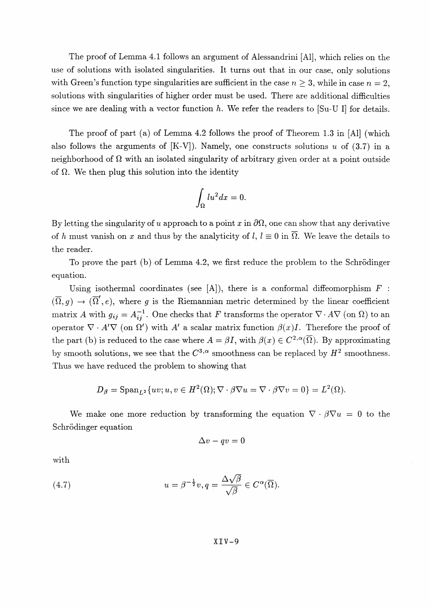The proof of Lemma 4.1 follows an argument of Alessandrini [Al], which relies on the use of solutions with isolated singularities. It turns out that in our case, only solutions with Green's function type singularities are sufficient in the case  $n \geq 3$ , while in case  $n = 2$ , solutions with singularities of higher order must be used. There are additional difficulties since we are dealing with a vector function *h.* We refer the readers to [Su-U I] for details.

The proof of part (a) of Lemma 4.2 follows the proof of Theorem 1.3 in [Al] (which also follows the arguments of [K-V]). Namely, one constructs solutions *u* of (3.7) in a neighborhood of  $\Omega$  with an isolated singularity of arbitrary given order at a point outside of  $\Omega$ . We then plug this solution into the identity

$$
\int_{\Omega} l u^2 dx = 0.
$$

By letting the singularity of u approach to a point x in  $\partial\Omega$ , one can show that any derivative of h must vanish on x and thus by the analyticity of l,  $l \equiv 0$  in  $\overline{\Omega}$ . We leave the details to the reader.

To prove the part (b) of Lemma 4.2, we first reduce the problem to the Schrodinger equation.

Using isothermal coordinates (see [A]), there is a conformal diffeomorphism  $F$ :  $(\overline{\Omega},g) \to (\overline{\Omega}',e)$ , where g is the Riemannian metric determined by the linear coefficient matrix A with  $g_{ij} = A^{-1}_{ij}$ . One checks that F transforms the operator  $\nabla \cdot A \nabla$  (on  $\Omega$ ) to an operator  $\nabla \cdot A' \nabla$  (on  $\Omega'$ ) with A' a scalar matrix function  $\beta(x)I$ . Therefore the proof of the part (b) is reduced to the case where  $A = \beta I$ , with  $\beta(x) \in C^{2,\alpha}(\overline{\Omega})$ . By approximating by smooth solutions, we see that the  $C^{3,\alpha}$  smoothness can be replaced by  $H^2$  smoothness. Thus we have reduced the problem to showing that

$$
D_{\beta} = \mathrm{Span}_{L^2}\{uv; u, v \in H^2(\Omega); \nabla \cdot \beta \nabla u = \nabla \cdot \beta \nabla v = 0\} = L^2(\Omega).
$$

We make one more reduction by transforming the equation  $\nabla \cdot \beta \nabla u = 0$  to the Schrödinger equation

$$
\Delta v - qv = 0
$$

with

(4.7) 
$$
u = \beta^{-\frac{1}{2}}v, q = \frac{\Delta\sqrt{\beta}}{\sqrt{\beta}} \in C^{\alpha}(\overline{\Omega}).
$$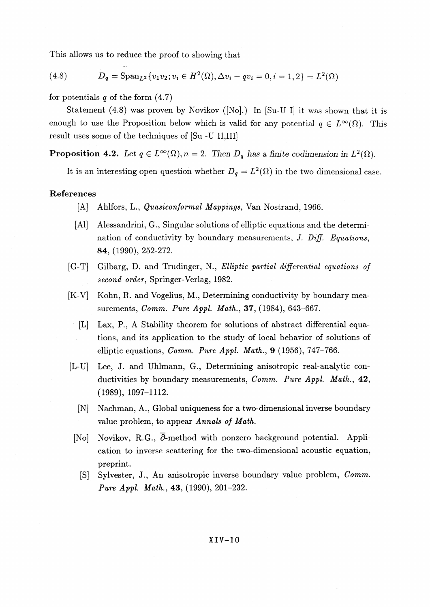This allows us to reduce the proof to showing that

(4.8) 
$$
D_q = \text{Span}_{L^2} \{v_1 v_2; v_i \in H^2(\Omega), \Delta v_i - qv_i = 0, i = 1, 2\} = L^2(\Omega)
$$

for potentials *q* of the form (4.7)

Statement (4.8) was proven by Novikov ([No].) In [Su-U I] it was shown that it is enough to use the Proposition below which is valid for any potential  $q \in L^{\infty}(\Omega)$ . This result uses some of the techniques of [Su -U II,III]

**Proposition 4.2.** Let  $q \in L^{\infty}(\Omega)$ ,  $n = 2$ . Then  $D_q$  has a finite codimension in  $L^2(\Omega)$ .

It is an interesting open question whether  $D_q = L^2(\Omega)$  in the two dimensional case.

#### **References**

- [A] Ahlfors, L., *Quasiconformal Mappings,* Van Nostrand, 1966.
- [Al] Alessandrini, **G.,** Singular solutions of elliptic equations and the determination of conductivity by boundary measurements, *J. Diff. Equations*, *84,* (1990), 252-272.
- [G-T] Gilbarg, D. and Trudinger, N., *Elliptic partial differential equations of second order,* Springer-Verlag, 1982.
- [K-V] Kohn, R. and Vogelius, M., Determining conductivity by boundary measurements, *Comm. Pure Appl. Math,,* **37,** (1984), 643-667.
	- [L] Lax, P., A Stability theorem for solutions of abstract differential equations, and its application to the study of local behavior of solutions of elliptic equations, *Comm. Pure Appl. Math., 9* (1956), 747-766.
- [L-U] Lee, J. and Uhlmann, G., Determining anisotropic real-analytic conductivities by boundary measurements, *Comm. Pure Appl. Math.,* **42,** (1989), 1097-1112.
	- [N] Nachman, A., Global uniqueness for a two-dimensional inverse boundary value problem, to appear *Annals of Math.*
	- [No] Novikov, R.G., *Q-* method with nonzero background potential. Application to inverse scattering for the two-dimensional acoustic equation, preprint.
		- [S] Sylvester, J., An anisotropic inverse boundary value problem, *Comm. Pure Appl. Math., 43,* (1990), 201-232.